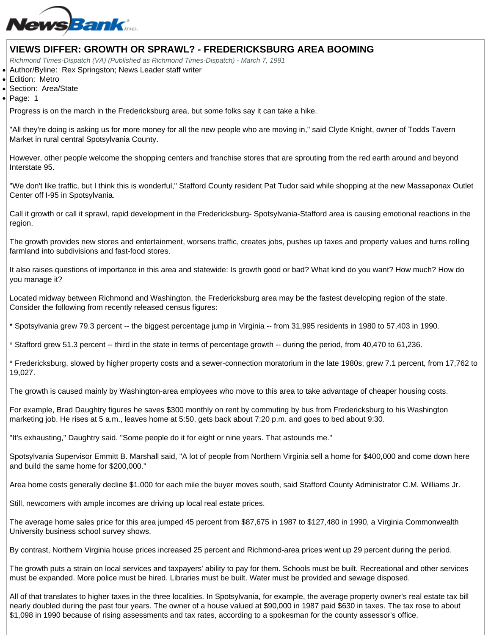## VIEWS DIFFER: GROWTH OR SPRAWL? - FREDERICKSBURG AREA BOOMING

Richmond Times-Dispatch (VA) (Published as Richmond Times-Dispatch) - March 7, 1991

Author/Byline: Rex Springston; News Leader staff writer

Edition: Metro

Section: Area/State

Page: 1

Progress is on the march in the Fredericksburg area, but some folks say it can take a hike.

"All they're doing is asking us for more money for all the new people who are moving in," said Clyde Knight, owner of Todds Tavern Market in rural central Spotsylvania County.

However, other people welcome the shopping centers and franchise stores that are sprouting from the red earth around and beyond Interstate 95.

"We don't like traffic, but I think this is wonderful," Stafford County resident Pat Tudor said while shopping at the new Massaponax Outlet Center off I-95 in Spotsylvania.

Call it growth or call it sprawl, rapid development in the Fredericksburg- Spotsylvania-Stafford area is causing emotional reactions in the region.

The growth provides new stores and entertainment, worsens traffic, creates jobs, pushes up taxes and property values and turns rolling farmland into subdivisions and fast-food stores.

It also raises questions of importance in this area and statewide: Is growth good or bad? What kind do you want? How much? How do you manage it?

Located midway between Richmond and Washington, the Fredericksburg area may be the fastest developing region of the state. Consider the following from recently released census figures:

\* Spotsylvania grew 79.3 percent -- the biggest percentage jump in Virginia -- from 31,995 residents in 1980 to 57,403 in 1990.

\* Stafford grew 51.3 percent -- third in the state in terms of percentage growth -- during the period, from 40,470 to 61,236.

\* Fredericksburg, slowed by higher property costs and a sewer-connection moratorium in the late 1980s, grew 7.1 percent, from 17,762 to 19,027.

The growth is caused mainly by Washington-area employees who move to this area to take advantage of cheaper housing costs.

For example, Brad Daughtry figures he saves \$300 monthly on rent by commuting by bus from Fredericksburg to his Washington marketing job. He rises at 5 a.m., leaves home at 5:50, gets back about 7:20 p.m. and goes to bed about 9:30.

"It's exhausting," Daughtry said. "Some people do it for eight or nine years. That astounds me."

Spotsylvania Supervisor Emmitt B. Marshall said, "A lot of people from Northern Virginia sell a home for \$400,000 and come down here and build the same home for \$200,000."

Area home costs generally decline \$1,000 for each mile the buyer moves south, said Stafford County Administrator C.M. Williams Jr.

Still, newcomers with ample incomes are driving up local real estate prices.

The average home sales price for this area jumped 45 percent from \$87,675 in 1987 to \$127,480 in 1990, a Virginia Commonwealth University business school survey shows.

By contrast, Northern Virginia house prices increased 25 percent and Richmond-area prices went up 29 percent during the period.

The growth puts a strain on local services and taxpayers' ability to pay for them. Schools must be built. Recreational and other services must be expanded. More police must be hired. Libraries must be built. Water must be provided and sewage disposed.

All of that translates to higher taxes in the three localities. In Spotsylvania, for example, the average property owner's real estate tax bill nearly doubled during the past four years. The owner of a house valued at \$90,000 in 1987 paid \$630 in taxes. The tax rose to about \$1,098 in 1990 because of rising assessments and tax rates, according to a spokesman for the county assessor's office.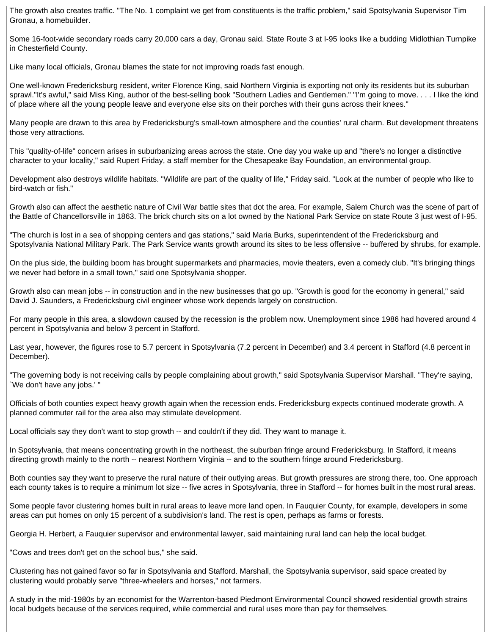The growth also creates traffic. "The No. 1 complaint we get from constituents is the traffic problem," said Spotsylvania Supervisor Tim Gronau, a homebuilder.

Some 16-foot-wide secondary roads carry 20,000 cars a day, Gronau said. State Route 3 at I-95 looks like a budding Midlothian Turnpike in Chesterfield County.

Like many local officials, Gronau blames the state for not improving roads fast enough.

One well-known Fredericksburg resident, writer Florence King, said Northern Virginia is exporting not only its residents but its suburban sprawl."It's awful," said Miss King, author of the best-selling book "Southern Ladies and Gentlemen." "I'm going to move. . . . I like the kind of place where all the young people leave and everyone else sits on their porches with their guns across their knees."

Many people are drawn to this area by Fredericksburg's small-town atmosphere and the counties' rural charm. But development threatens those very attractions.

This "quality-of-life" concern arises in suburbanizing areas across the state. One day you wake up and "there's no longer a distinctive character to your locality," said Rupert Friday, a staff member for the Chesapeake Bay Foundation, an environmental group.

Development also destroys wildlife habitats. "Wildlife are part of the quality of life," Friday said. "Look at the number of people who like to bird-watch or fish."

Growth also can affect the aesthetic nature of Civil War battle sites that dot the area. For example, Salem Church was the scene of part of the Battle of Chancellorsville in 1863. The brick church sits on a lot owned by the National Park Service on state Route 3 just west of I-95.

"The church is lost in a sea of shopping centers and gas stations," said Maria Burks, superintendent of the Fredericksburg and Spotsylvania National Military Park. The Park Service wants growth around its sites to be less offensive -- buffered by shrubs, for example.

On the plus side, the building boom has brought supermarkets and pharmacies, movie theaters, even a comedy club. "It's bringing things we never had before in a small town," said one Spotsylvania shopper.

Growth also can mean jobs -- in construction and in the new businesses that go up. "Growth is good for the economy in general," said David J. Saunders, a Fredericksburg civil engineer whose work depends largely on construction.

For many people in this area, a slowdown caused by the recession is the problem now. Unemployment since 1986 had hovered around 4 percent in Spotsylvania and below 3 percent in Stafford.

Last year, however, the figures rose to 5.7 percent in Spotsylvania (7.2 percent in December) and 3.4 percent in Stafford (4.8 percent in December).

"The governing body is not receiving calls by people complaining about growth," said Spotsylvania Supervisor Marshall. "They're saying, `We don't have any jobs.' "

Officials of both counties expect heavy growth again when the recession ends. Fredericksburg expects continued moderate growth. A planned commuter rail for the area also may stimulate development.

Local officials say they don't want to stop growth -- and couldn't if they did. They want to manage it.

In Spotsylvania, that means concentrating growth in the northeast, the suburban fringe around Fredericksburg. In Stafford, it means directing growth mainly to the north -- nearest Northern Virginia -- and to the southern fringe around Fredericksburg.

Both counties say they want to preserve the rural nature of their outlying areas. But growth pressures are strong there, too. One approach each county takes is to require a minimum lot size -- five acres in Spotsylvania, three in Stafford -- for homes built in the most rural areas.

Some people favor clustering homes built in rural areas to leave more land open. In Fauquier County, for example, developers in some areas can put homes on only 15 percent of a subdivision's land. The rest is open, perhaps as farms or forests.

Georgia H. Herbert, a Fauquier supervisor and environmental lawyer, said maintaining rural land can help the local budget.

"Cows and trees don't get on the school bus," she said.

Clustering has not gained favor so far in Spotsylvania and Stafford. Marshall, the Spotsylvania supervisor, said space created by clustering would probably serve "three-wheelers and horses," not farmers.

A study in the mid-1980s by an economist for the Warrenton-based Piedmont Environmental Council showed residential growth strains local budgets because of the services required, while commercial and rural uses more than pay for themselves.